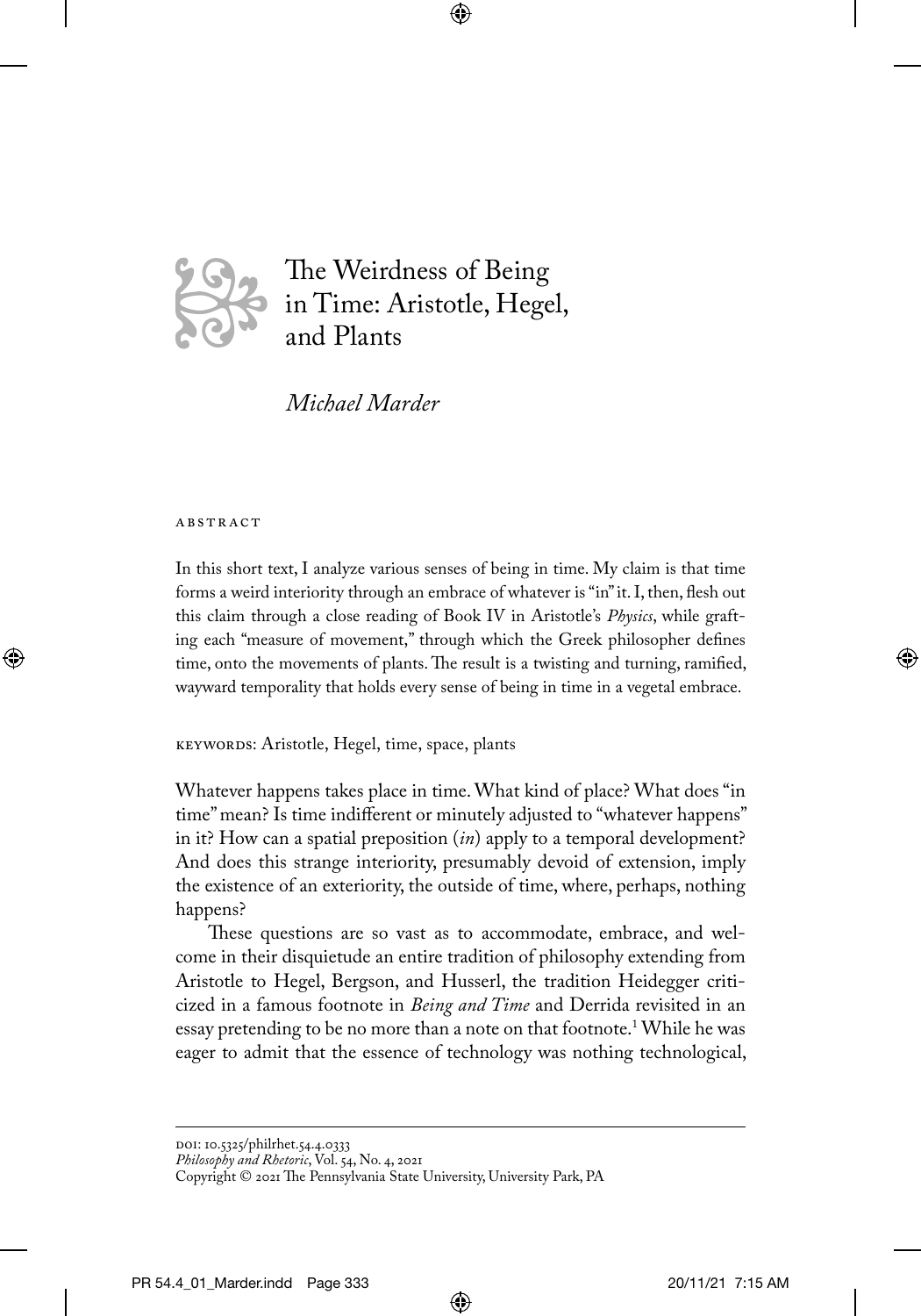

The Weirdness of Being in Time: Aristotle, Hegel, and Plants

⊕

*Michael Marder* 

#### **ABSTRACT**

⊕

In this short text, I analyze various senses of being in time. My claim is that time forms a weird interiority through an embrace of whatever is "in" it. I, then, flesh out this claim through a close reading of Book IV in Aristotle's *Physics*, while grafting each "measure of movement," through which the Greek philosopher defines time, onto the movements of plants. The result is a twisting and turning, ramified, wayward temporality that holds every sense of being in time in a vegetal embrace.

KEYWORDS: Aristotle, Hegel, time, space, plants

Whatever happens takes place in time. What kind of place? What does "in time" mean? Is time indifferent or minutely adjusted to "whatever happens" in it? How can a spatial preposition (*in*) apply to a temporal development? And does this strange interiority, presumably devoid of extension, imply the existence of an exteriority, the outside of time, where, perhaps, nothing happens?

These questions are so vast as to accommodate, embrace, and welcome in their disquietude an entire tradition of philosophy extending from Aristotle to Hegel, Bergson, and Husserl, the tradition Heidegger criticized in a famous footnote in *Being and Time* and Derrida revisited in an essay pretending to be no more than a note on that footnote.1 While he was eager to admit that the essence of technology was nothing technological,

⊕

*Philosophy and Rhetoric*, Vol. 54, No. 4, 2021

doi: 10.5325/philrhet.54.4.0333

Copyright © 2021 The Pennsylvania State University, University Park, PA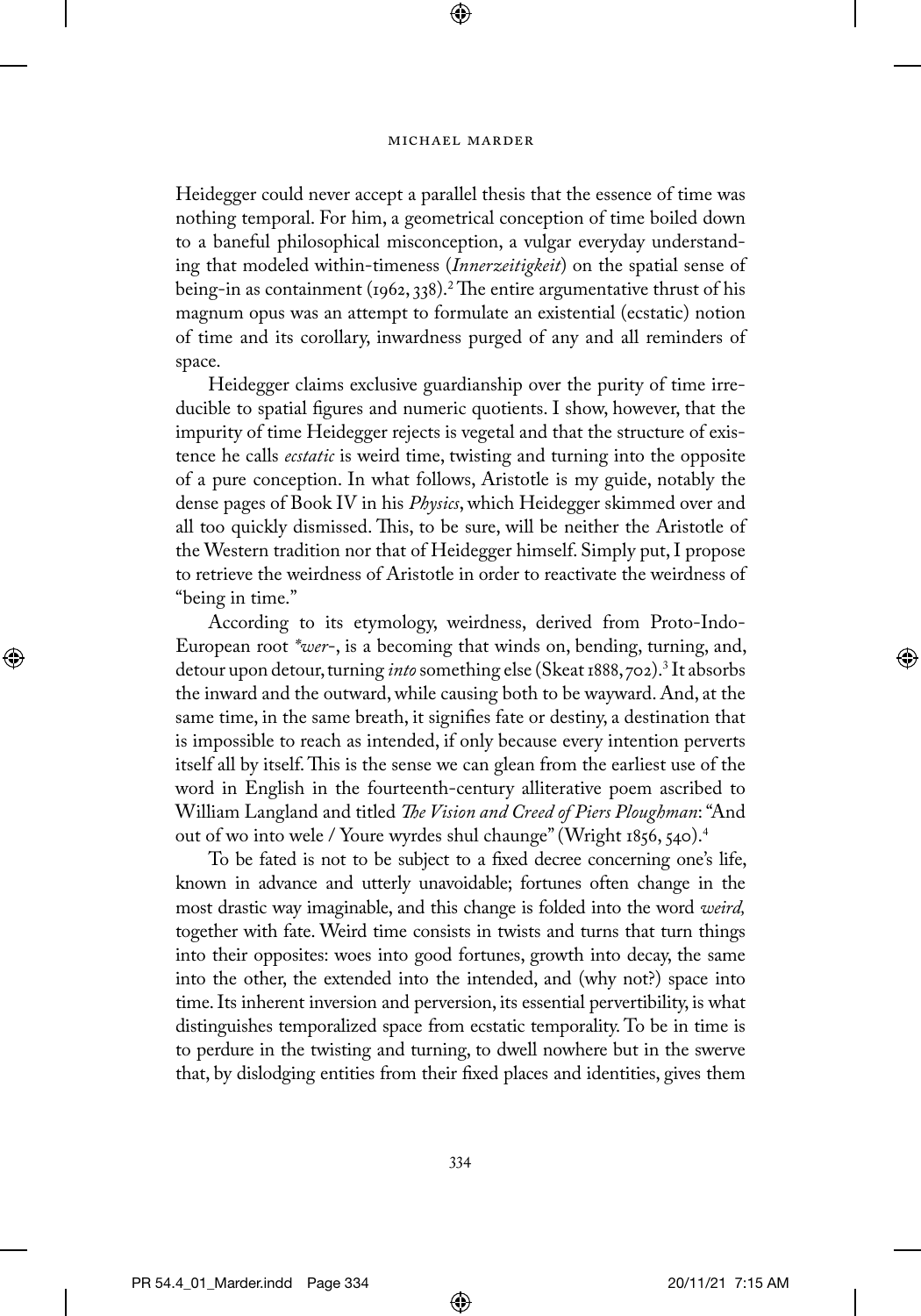⊕

Heidegger could never accept a parallel thesis that the essence of time was nothing temporal. For him, a geometrical conception of time boiled down to a baneful philosophical misconception, a vulgar everyday understanding that modeled within-timeness (*Innerzeitigkeit*) on the spatial sense of being-in as containment (1962, 338).<sup>2</sup> The entire argumentative thrust of his magnum opus was an attempt to formulate an existential (ecstatic) notion of time and its corollary, inwardness purged of any and all reminders of space.

Heidegger claims exclusive guardianship over the purity of time irreducible to spatial figures and numeric quotients. I show, however, that the impurity of time Heidegger rejects is vegetal and that the structure of existence he calls *ecstatic* is weird time, twisting and turning into the opposite of a pure conception. In what follows, Aristotle is my guide, notably the dense pages of Book IV in his *Physics*, which Heidegger skimmed over and all too quickly dismissed. This, to be sure, will be neither the Aristotle of the Western tradition nor that of Heidegger himself. Simply put, I propose to retrieve the weirdness of Aristotle in order to reactivate the weirdness of "being in time."

According to its etymology, weirdness, derived from Proto-Indo-European root *\*wer*-, is a becoming that winds on, bending, turning, and, detour upon detour, turning *into* something else (Skeat 1888, 702).3 It absorbs the inward and the outward, while causing both to be wayward. And, at the same time, in the same breath, it signifies fate or destiny, a destination that is impossible to reach as intended, if only because every intention perverts itself all by itself. This is the sense we can glean from the earliest use of the word in English in the fourteenth-century alliterative poem ascribed to William Langland and titled *The Vision and Creed of Piers Ploughman*: "And out of wo into wele / Youre wyrdes shul chaunge" (Wright 1856, 540).<sup>4</sup>

To be fated is not to be subject to a fixed decree concerning one's life, known in advance and utterly unavoidable; fortunes often change in the most drastic way imaginable, and this change is folded into the word *weird,* together with fate. Weird time consists in twists and turns that turn things into their opposites: woes into good fortunes, growth into decay, the same into the other, the extended into the intended, and (why not?) space into time. Its inherent inversion and perversion, its essential pervertibility, is what distinguishes temporalized space from ecstatic temporality. To be in time is to perdure in the twisting and turning, to dwell nowhere but in the swerve that, by dislodging entities from their fixed places and identities, gives them

⊕

⊕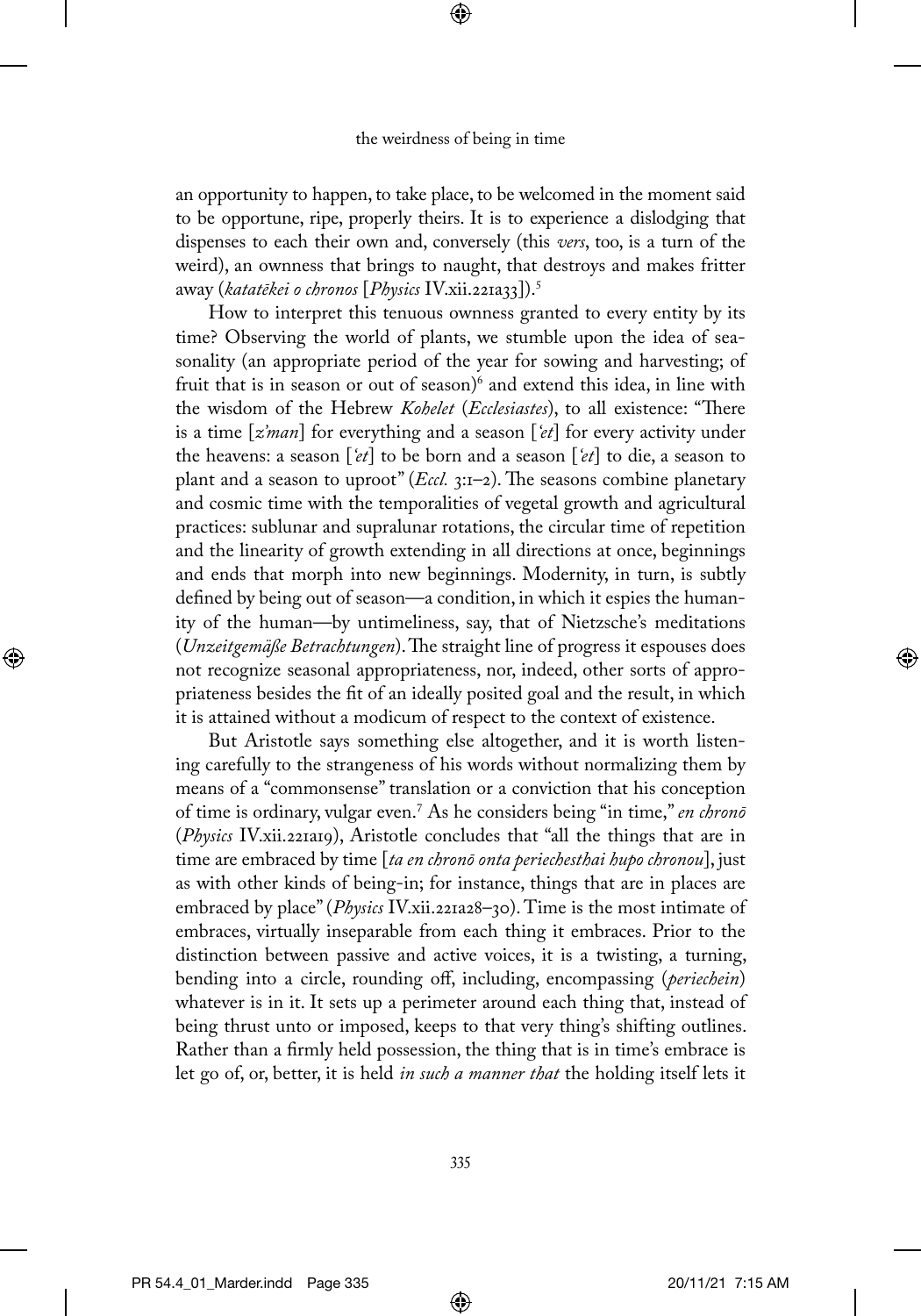⊕

an opportunity to happen, to take place, to be welcomed in the moment said to be opportune, ripe, properly theirs. It is to experience a dislodging that dispenses to each their own and, conversely (this *vers*, too, is a turn of the weird), an ownness that brings to naught, that destroys and makes fritter away (*katatēkei o chronos* [*Physics* IV.xii.221a33]).5

How to interpret this tenuous ownness granted to every entity by its time? Observing the world of plants, we stumble upon the idea of seasonality (an appropriate period of the year for sowing and harvesting; of fruit that is in season or out of season)<sup>6</sup> and extend this idea, in line with the wisdom of the Hebrew *Kohelet* (*Ecclesiastes*), to all existence: "There is a time [*z'man*] for everything and a season [*'et*] for every activity under the heavens: a season [*'et*] to be born and a season [*'et*] to die, a season to plant and a season to uproot" (*Eccl.* 3:1–2). The seasons combine planetary and cosmic time with the temporalities of vegetal growth and agricultural practices: sublunar and supralunar rotations, the circular time of repetition and the linearity of growth extending in all directions at once, beginnings and ends that morph into new beginnings. Modernity, in turn, is subtly defined by being out of season—a condition, in which it espies the humanity of the human—by untimeliness, say, that of Nietzsche's meditations (*Unzeitgemäße Betrachtungen*). The straight line of progress it espouses does not recognize seasonal appropriateness, nor, indeed, other sorts of appropriateness besides the fit of an ideally posited goal and the result, in which it is attained without a modicum of respect to the context of existence.

But Aristotle says something else altogether, and it is worth listening carefully to the strangeness of his words without normalizing them by means of a "commonsense" translation or a conviction that his conception of time is ordinary, vulgar even.7 As he considers being "in time," *en chronō* (*Physics* IV.xii.221a19), Aristotle concludes that "all the things that are in time are embraced by time [*ta en chronō onta periechesthai hupo chronou*], just as with other kinds of being-in; for instance, things that are in places are embraced by place" (*Physics* IV.xii.221a28–30). Time is the most intimate of embraces, virtually inseparable from each thing it embraces. Prior to the distinction between passive and active voices, it is a twisting, a turning, bending into a circle, rounding off, including, encompassing (*periechein*) whatever is in it. It sets up a perimeter around each thing that, instead of being thrust unto or imposed, keeps to that very thing's shifting outlines. Rather than a firmly held possession, the thing that is in time's embrace is let go of, or, better, it is held *in such a manner that* the holding itself lets it

335

⊕

↔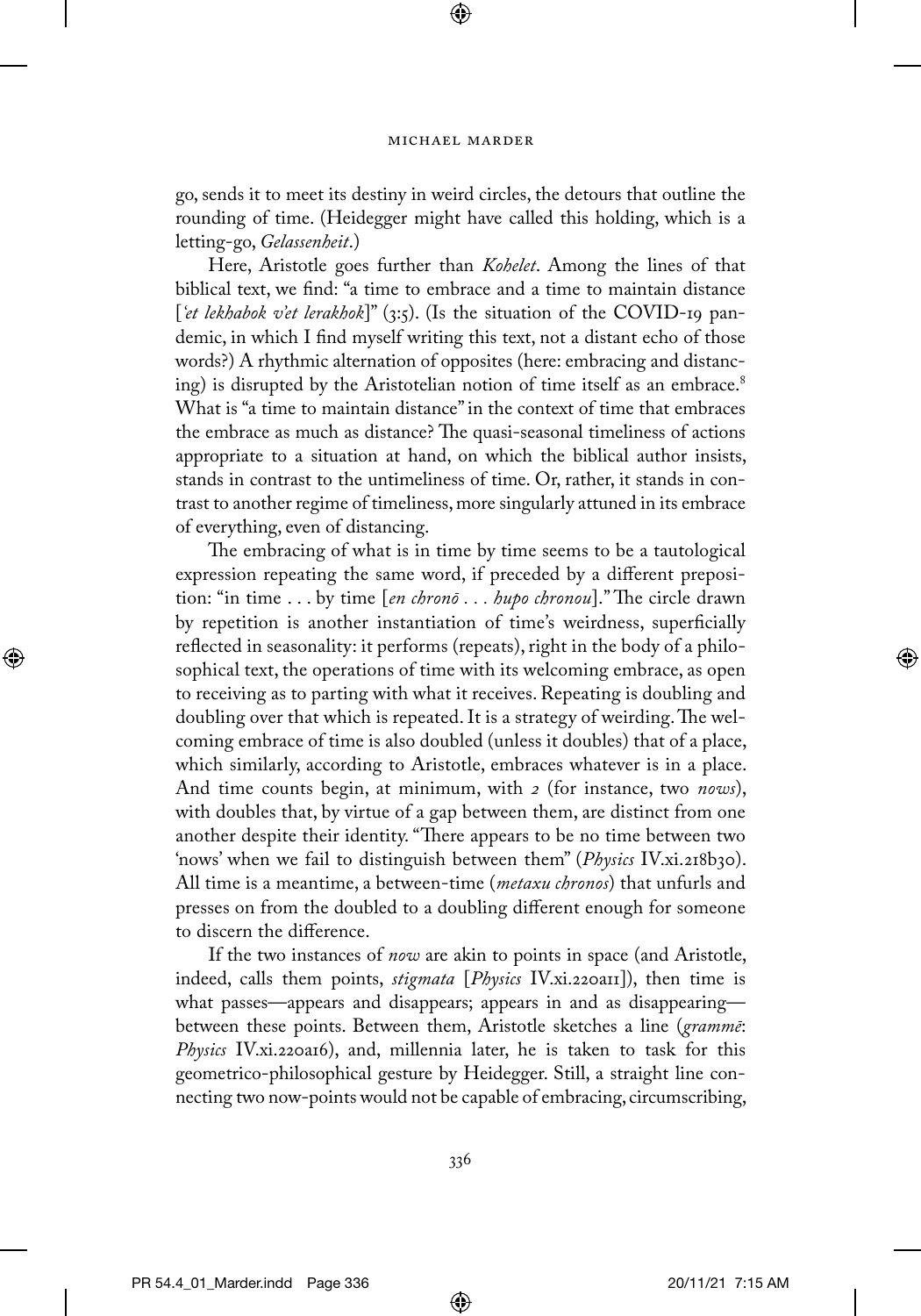⊕

go, sends it to meet its destiny in weird circles, the detours that outline the rounding of time. (Heidegger might have called this holding, which is a letting-go, *Gelassenheit*.)

Here, Aristotle goes further than *Kohelet*. Among the lines of that biblical text, we find: "a time to embrace and a time to maintain distance [*'et lekhabok v'et lerakhok*]" (3:5). (Is the situation of the COVID-19 pandemic, in which I find myself writing this text, not a distant echo of those words?) A rhythmic alternation of opposites (here: embracing and distancing) is disrupted by the Aristotelian notion of time itself as an embrace.<sup>8</sup> What is "a time to maintain distance" in the context of time that embraces the embrace as much as distance? The quasi-seasonal timeliness of actions appropriate to a situation at hand, on which the biblical author insists, stands in contrast to the untimeliness of time. Or, rather, it stands in contrast to another regime of timeliness, more singularly attuned in its embrace of everything, even of distancing.

The embracing of what is in time by time seems to be a tautological expression repeating the same word, if preceded by a different preposition: "in time . . . by time [*en chronō . . . hupo chronou*]." The circle drawn by repetition is another instantiation of time's weirdness, superficially reflected in seasonality: it performs (repeats), right in the body of a philosophical text, the operations of time with its welcoming embrace, as open to receiving as to parting with what it receives. Repeating is doubling and doubling over that which is repeated. It is a strategy of weirding. The welcoming embrace of time is also doubled (unless it doubles) that of a place, which similarly, according to Aristotle, embraces whatever is in a place. And time counts begin, at minimum, with *2* (for instance, two *nows*), with doubles that, by virtue of a gap between them, are distinct from one another despite their identity. "There appears to be no time between two 'nows' when we fail to distinguish between them" (*Physics* IV.xi.218b30). All time is a meantime, a between-time (*metaxu chronos*) that unfurls and presses on from the doubled to a doubling different enough for someone to discern the difference.

If the two instances of *now* are akin to points in space (and Aristotle, indeed, calls them points, *stigmata* [*Physics* IV.xi.220a11]), then time is what passes—appears and disappears; appears in and as disappearing between these points. Between them, Aristotle sketches a line (*grammē*: *Physics* IV.xi.220a16), and, millennia later, he is taken to task for this geometrico-philosophical gesture by Heidegger. Still, a straight line connecting two now-points would not be capable of embracing, circumscribing,

⊕

⊕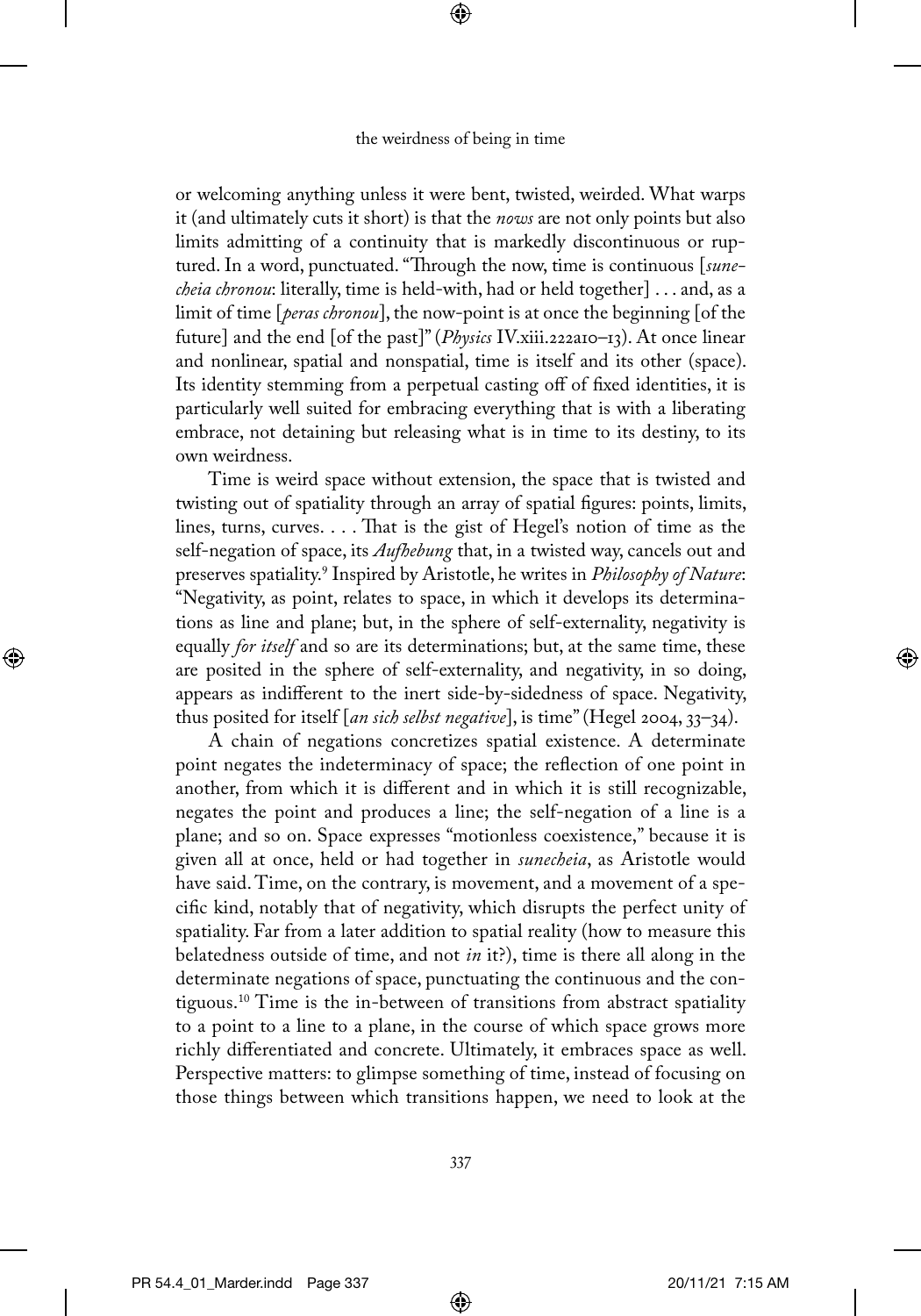⊕

or welcoming anything unless it were bent, twisted, weirded. What warps it (and ultimately cuts it short) is that the *nows* are not only points but also limits admitting of a continuity that is markedly discontinuous or ruptured. In a word, punctuated. "Through the now, time is continuous [*sunecheia chronou*: literally, time is held-with, had or held together] . . . and, as a limit of time [*peras chronou*], the now-point is at once the beginning [of the future] and the end [of the past]" (*Physics* IV.xiii.222a10–13). At once linear and nonlinear, spatial and nonspatial, time is itself and its other (space). Its identity stemming from a perpetual casting off of fixed identities, it is particularly well suited for embracing everything that is with a liberating embrace, not detaining but releasing what is in time to its destiny, to its own weirdness.

Time is weird space without extension, the space that is twisted and twisting out of spatiality through an array of spatial figures: points, limits, lines, turns, curves. . . . That is the gist of Hegel's notion of time as the self-negation of space, its *Aufhebung* that, in a twisted way, cancels out and preserves spatiality.9 Inspired by Aristotle, he writes in *Philosophy of Nature*: "Negativity, as point, relates to space, in which it develops its determinations as line and plane; but, in the sphere of self-externality, negativity is equally *for itself* and so are its determinations; but, at the same time, these are posited in the sphere of self-externality, and negativity, in so doing, appears as indifferent to the inert side-by-sidedness of space. Negativity, thus posited for itself [*an sich selbst negative*], is time" (Hegel 2004, 33–34).

A chain of negations concretizes spatial existence. A determinate point negates the indeterminacy of space; the reflection of one point in another, from which it is different and in which it is still recognizable, negates the point and produces a line; the self-negation of a line is a plane; and so on. Space expresses "motionless coexistence," because it is given all at once, held or had together in *sunecheia*, as Aristotle would have said. Time, on the contrary, is movement, and a movement of a specific kind, notably that of negativity, which disrupts the perfect unity of spatiality. Far from a later addition to spatial reality (how to measure this belatedness outside of time, and not *in* it?), time is there all along in the determinate negations of space, punctuating the continuous and the contiguous.10 Time is the in-between of transitions from abstract spatiality to a point to a line to a plane, in the course of which space grows more richly differentiated and concrete. Ultimately, it embraces space as well. Perspective matters: to glimpse something of time, instead of focusing on those things between which transitions happen, we need to look at the

⊕

⊕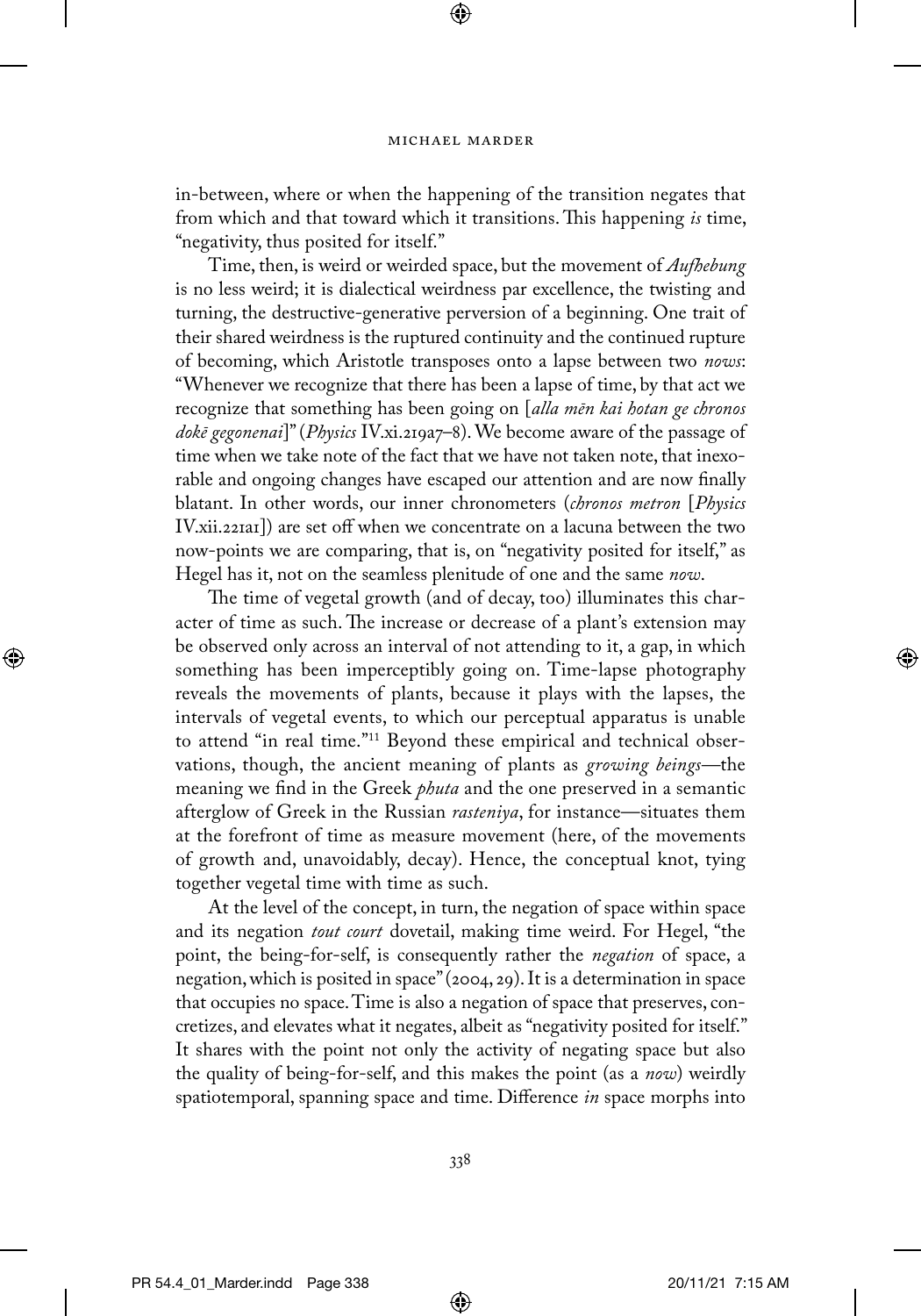⊕

in-between, where or when the happening of the transition negates that from which and that toward which it transitions. This happening *is* time, "negativity, thus posited for itself."

Time, then, is weird or weirded space, but the movement of *Aufhebung* is no less weird; it is dialectical weirdness par excellence, the twisting and turning, the destructive-generative perversion of a beginning. One trait of their shared weirdness is the ruptured continuity and the continued rupture of becoming, which Aristotle transposes onto a lapse between two *nows*: "Whenever we recognize that there has been a lapse of time, by that act we recognize that something has been going on [*alla mēn kai hotan ge chronos dokē gegonenai*]" (*Physics* IV.xi.219a7–8). We become aware of the passage of time when we take note of the fact that we have not taken note, that inexorable and ongoing changes have escaped our attention and are now finally blatant. In other words, our inner chronometers (*chronos metron* [*Physics* IV.xii.221a1]) are set off when we concentrate on a lacuna between the two now-points we are comparing, that is, on "negativity posited for itself," as Hegel has it, not on the seamless plenitude of one and the same *now*.

The time of vegetal growth (and of decay, too) illuminates this character of time as such. The increase or decrease of a plant's extension may be observed only across an interval of not attending to it, a gap, in which something has been imperceptibly going on. Time-lapse photography reveals the movements of plants, because it plays with the lapses, the intervals of vegetal events, to which our perceptual apparatus is unable to attend "in real time."11 Beyond these empirical and technical observations, though, the ancient meaning of plants as *growing beings—*the meaning we find in the Greek *phuta* and the one preserved in a semantic afterglow of Greek in the Russian *rasteniya*, for instance—situates them at the forefront of time as measure movement (here, of the movements of growth and, unavoidably, decay). Hence, the conceptual knot, tying together vegetal time with time as such.

At the level of the concept, in turn, the negation of space within space and its negation *tout court* dovetail, making time weird. For Hegel, "the point, the being-for-self, is consequently rather the *negation* of space, a negation, which is posited in space" (2004, 29). It is a determination in space that occupies no space. Time is also a negation of space that preserves, concretizes, and elevates what it negates, albeit as "negativity posited for itself." It shares with the point not only the activity of negating space but also the quality of being-for-self, and this makes the point (as a *now*) weirdly spatiotemporal, spanning space and time. Difference *in* space morphs into

⊕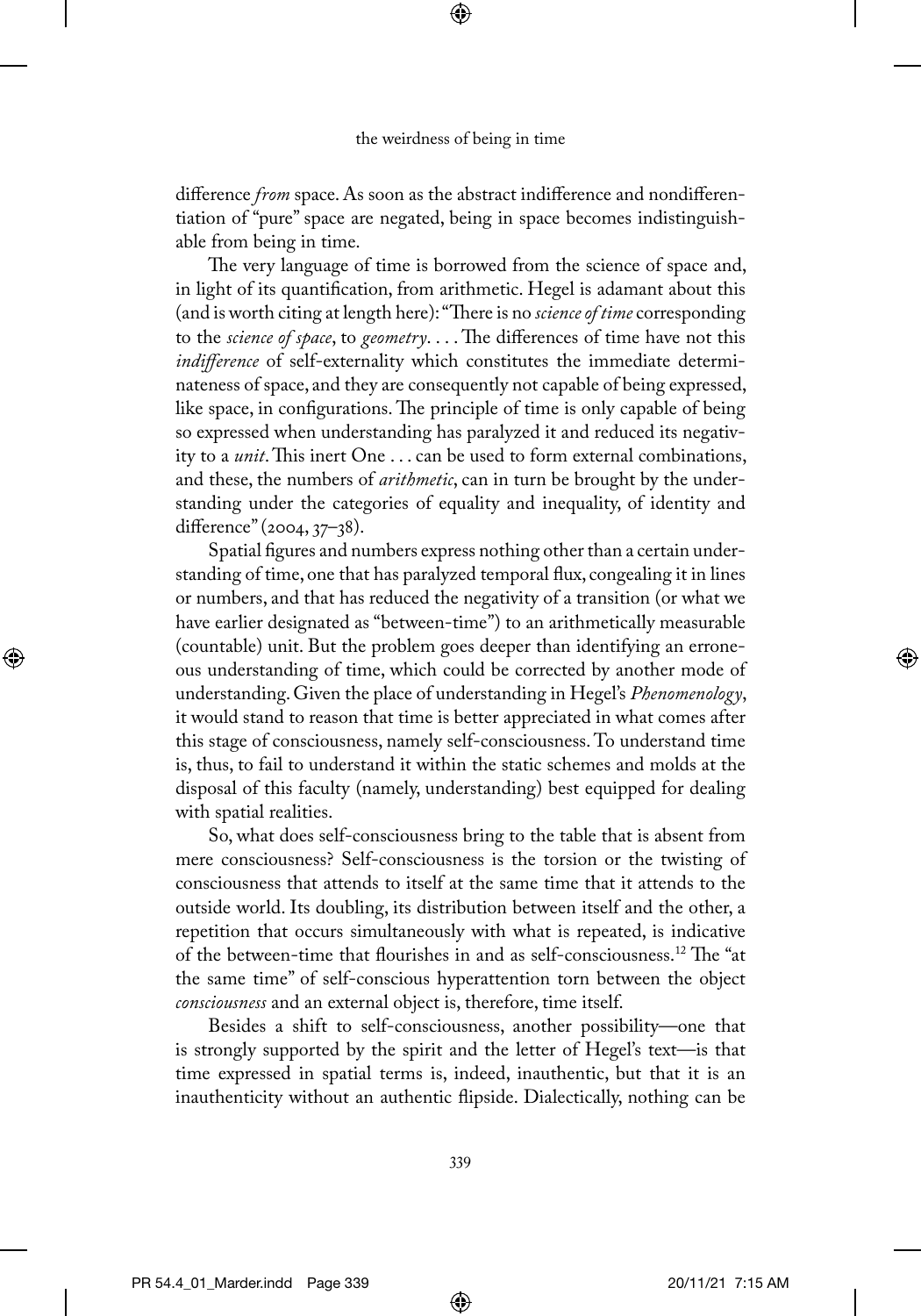⊕

difference *from* space. As soon as the abstract indifference and nondifferentiation of "pure" space are negated, being in space becomes indistinguishable from being in time.

The very language of time is borrowed from the science of space and, in light of its quantification, from arithmetic. Hegel is adamant about this (and is worth citing at length here): "There is no *science of time* corresponding to the *science of space*, to *geometry*. . . . The differences of time have not this *indifference* of self-externality which constitutes the immediate determinateness of space, and they are consequently not capable of being expressed, like space, in configurations. The principle of time is only capable of being so expressed when understanding has paralyzed it and reduced its negativity to a *unit*. This inert One . . . can be used to form external combinations, and these, the numbers of *arithmetic*, can in turn be brought by the understanding under the categories of equality and inequality, of identity and difference" (2004, 37–38).

Spatial figures and numbers express nothing other than a certain understanding of time, one that has paralyzed temporal flux, congealing it in lines or numbers, and that has reduced the negativity of a transition (or what we have earlier designated as "between-time") to an arithmetically measurable (countable) unit. But the problem goes deeper than identifying an erroneous understanding of time, which could be corrected by another mode of understanding. Given the place of understanding in Hegel's *Phenomenology*, it would stand to reason that time is better appreciated in what comes after this stage of consciousness, namely self-consciousness. To understand time is, thus, to fail to understand it within the static schemes and molds at the disposal of this faculty (namely, understanding) best equipped for dealing with spatial realities.

So, what does self-consciousness bring to the table that is absent from mere consciousness? Self-consciousness is the torsion or the twisting of consciousness that attends to itself at the same time that it attends to the outside world. Its doubling, its distribution between itself and the other, a repetition that occurs simultaneously with what is repeated, is indicative of the between-time that flourishes in and as self-consciousness.12 The "at the same time" of self-conscious hyperattention torn between the object *consciousness* and an external object is, therefore, time itself.

Besides a shift to self-consciousness, another possibility—one that is strongly supported by the spirit and the letter of Hegel's text—is that time expressed in spatial terms is, indeed, inauthentic, but that it is an inauthenticity without an authentic flipside. Dialectically, nothing can be

⊕

⊕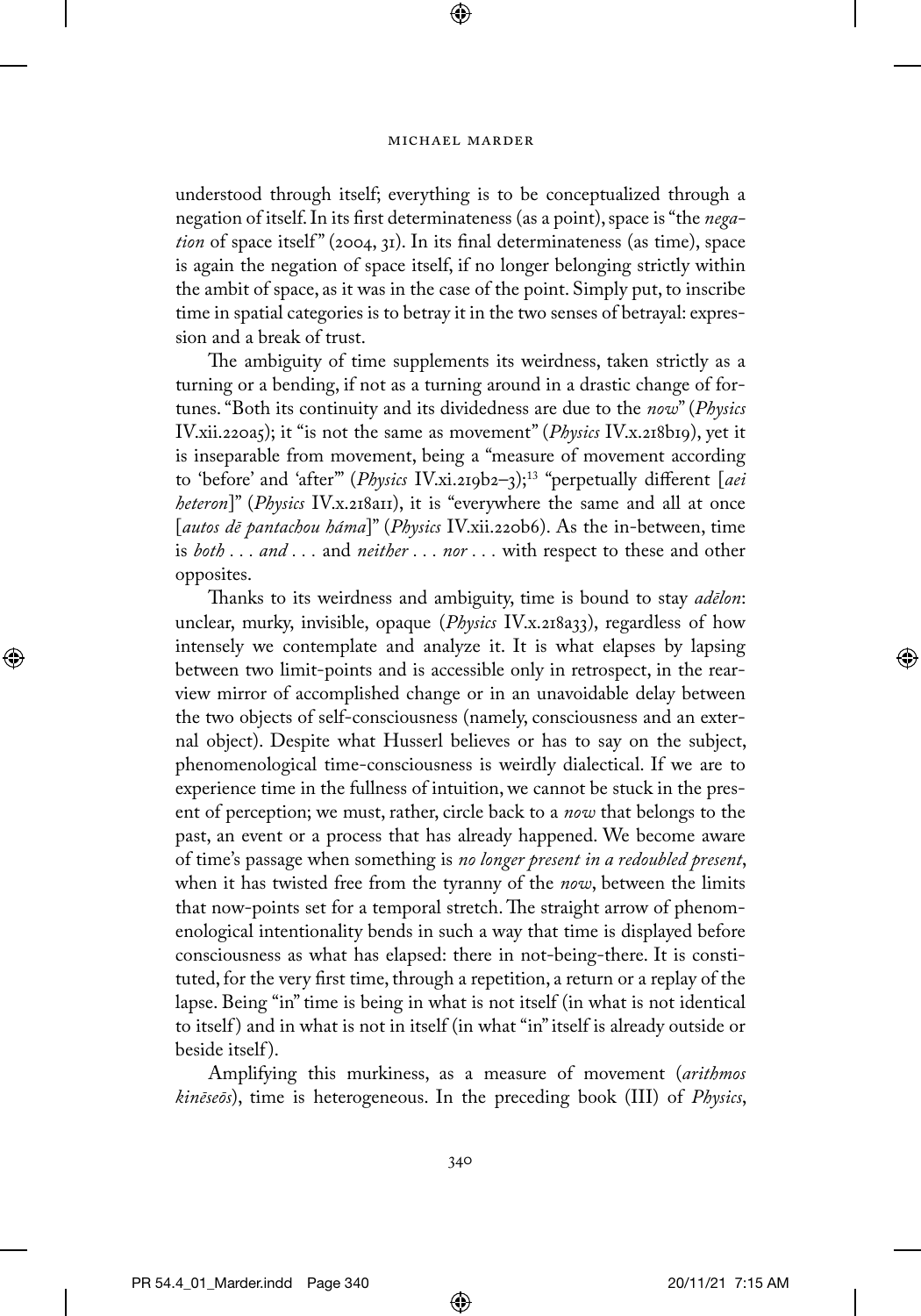⊕

understood through itself; everything is to be conceptualized through a negation of itself. In its first determinateness (as a point), space is "the *negation* of space itself" (2004, 31). In its final determinateness (as time), space is again the negation of space itself, if no longer belonging strictly within the ambit of space, as it was in the case of the point. Simply put, to inscribe time in spatial categories is to betray it in the two senses of betrayal: expression and a break of trust.

The ambiguity of time supplements its weirdness, taken strictly as a turning or a bending, if not as a turning around in a drastic change of fortunes. "Both its continuity and its dividedness are due to the *now*" (*Physics* IV.xii.220a5); it "is not the same as movement" (*Physics* IV.x.218b19), yet it is inseparable from movement, being a "measure of movement according to 'before' and 'after'" (*Physics* IV.xi.219b2–3);13 "perpetually different [*aei heteron*]" (*Physics* IV.x.218a11), it is "everywhere the same and all at once [*autos dē pantachou háma*]" (*Physics* IV.xii.220b6). As the in-between, time is *both . . . and . . .* and *neither . . . nor . . .* with respect to these and other opposites.

Thanks to its weirdness and ambiguity, time is bound to stay *adēlon*: unclear, murky, invisible, opaque (*Physics IV.x.218a33*), regardless of how intensely we contemplate and analyze it. It is what elapses by lapsing between two limit-points and is accessible only in retrospect, in the rearview mirror of accomplished change or in an unavoidable delay between the two objects of self-consciousness (namely, consciousness and an external object). Despite what Husserl believes or has to say on the subject, phenomenological time-consciousness is weirdly dialectical. If we are to experience time in the fullness of intuition, we cannot be stuck in the present of perception; we must, rather, circle back to a *now* that belongs to the past, an event or a process that has already happened. We become aware of time's passage when something is *no longer present in a redoubled present*, when it has twisted free from the tyranny of the *now*, between the limits that now-points set for a temporal stretch. The straight arrow of phenomenological intentionality bends in such a way that time is displayed before consciousness as what has elapsed: there in not-being-there. It is constituted, for the very first time, through a repetition, a return or a replay of the lapse. Being "in" time is being in what is not itself (in what is not identical to itself ) and in what is not in itself (in what "in" itself is already outside or beside itself ).

Amplifying this murkiness, as a measure of movement (*arithmos kinēseōs*), time is heterogeneous. In the preceding book (III) of *Physics*,

340

⊕

⊕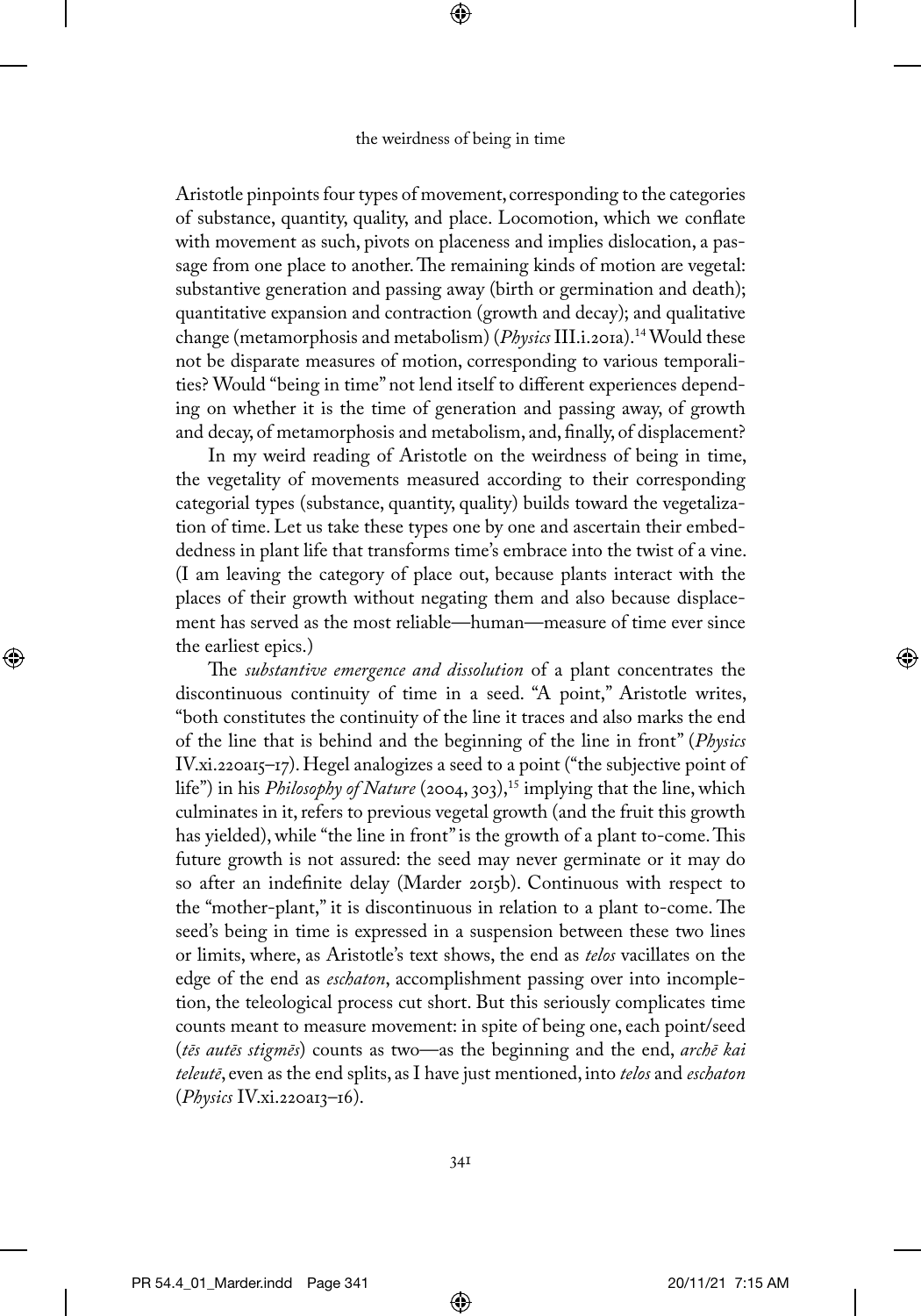⊕

Aristotle pinpoints four types of movement, corresponding to the categories of substance, quantity, quality, and place. Locomotion, which we conflate with movement as such, pivots on placeness and implies dislocation, a passage from one place to another. The remaining kinds of motion are vegetal: substantive generation and passing away (birth or germination and death); quantitative expansion and contraction (growth and decay); and qualitative change (metamorphosis and metabolism) (*Physics* III.i.201a).14 Would these not be disparate measures of motion, corresponding to various temporalities? Would "being in time" not lend itself to different experiences depending on whether it is the time of generation and passing away, of growth and decay, of metamorphosis and metabolism, and, finally, of displacement?

In my weird reading of Aristotle on the weirdness of being in time, the vegetality of movements measured according to their corresponding categorial types (substance, quantity, quality) builds toward the vegetalization of time. Let us take these types one by one and ascertain their embeddedness in plant life that transforms time's embrace into the twist of a vine. (I am leaving the category of place out, because plants interact with the places of their growth without negating them and also because displacement has served as the most reliable—human—measure of time ever since the earliest epics.)

The *substantive emergence and dissolution* of a plant concentrates the discontinuous continuity of time in a seed. "A point," Aristotle writes, "both constitutes the continuity of the line it traces and also marks the end of the line that is behind and the beginning of the line in front" (*Physics* IV.xi.220a15–17). Hegel analogizes a seed to a point ("the subjective point of life") in his *Philosophy of Nature* (2004, 303),<sup>15</sup> implying that the line, which culminates in it, refers to previous vegetal growth (and the fruit this growth has yielded), while "the line in front" is the growth of a plant to-come. This future growth is not assured: the seed may never germinate or it may do so after an indefinite delay (Marder 2015b). Continuous with respect to the "mother-plant," it is discontinuous in relation to a plant to-come. The seed's being in time is expressed in a suspension between these two lines or limits, where, as Aristotle's text shows, the end as *telos* vacillates on the edge of the end as *eschaton*, accomplishment passing over into incompletion, the teleological process cut short. But this seriously complicates time counts meant to measure movement: in spite of being one, each point/seed (*tēs autēs stigmēs*) counts as two—as the beginning and the end, *archē kai teleutē*, even as the end splits, as I have just mentioned, into *telos* and *eschaton* (*Physics* IV.xi.220a13–16).

⊕

⊕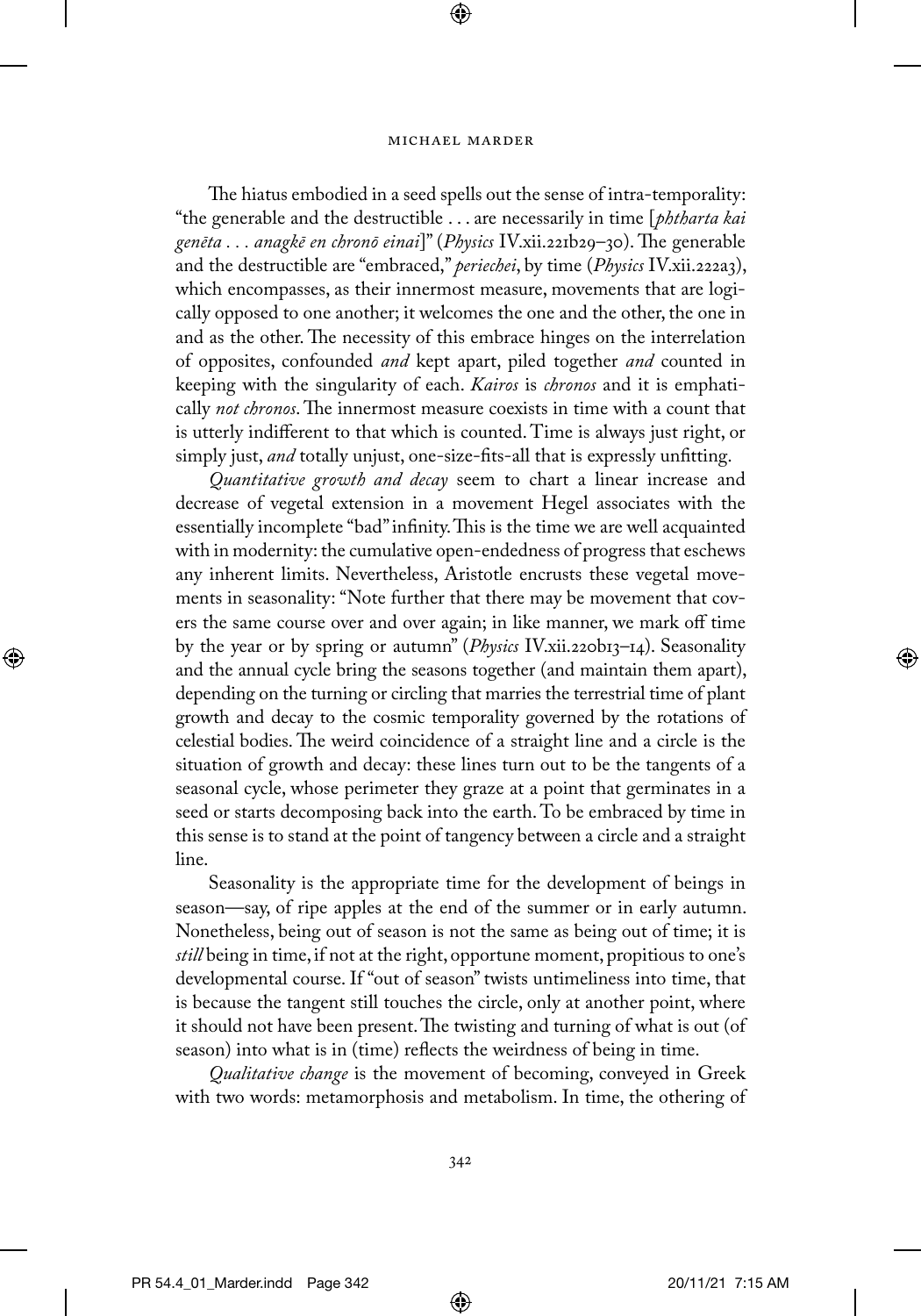⊕

The hiatus embodied in a seed spells out the sense of intra-temporality: "the generable and the destructible . . . are necessarily in time [*phtharta kai genēta . . . anagkē en chronō einai*]" (*Physics* IV.xii.221b29–30). The generable and the destructible are "embraced," *periechei*, by time (*Physics* IV.xii.222a3), which encompasses, as their innermost measure, movements that are logically opposed to one another; it welcomes the one and the other, the one in and as the other. The necessity of this embrace hinges on the interrelation of opposites, confounded *and* kept apart, piled together *and* counted in keeping with the singularity of each. *Kairos* is *chronos* and it is emphatically *not chronos*. The innermost measure coexists in time with a count that is utterly indifferent to that which is counted. Time is always just right, or simply just, *and* totally unjust, one-size-fits-all that is expressly unfitting.

*Quantitative growth and decay* seem to chart a linear increase and decrease of vegetal extension in a movement Hegel associates with the essentially incomplete "bad" infinity. This is the time we are well acquainted with in modernity: the cumulative open-endedness of progress that eschews any inherent limits. Nevertheless, Aristotle encrusts these vegetal movements in seasonality: "Note further that there may be movement that covers the same course over and over again; in like manner, we mark off time by the year or by spring or autumn" (*Physics* IV.xii.220b13–14). Seasonality and the annual cycle bring the seasons together (and maintain them apart), depending on the turning or circling that marries the terrestrial time of plant growth and decay to the cosmic temporality governed by the rotations of celestial bodies. The weird coincidence of a straight line and a circle is the situation of growth and decay: these lines turn out to be the tangents of a seasonal cycle, whose perimeter they graze at a point that germinates in a seed or starts decomposing back into the earth. To be embraced by time in this sense is to stand at the point of tangency between a circle and a straight line.

Seasonality is the appropriate time for the development of beings in season—say, of ripe apples at the end of the summer or in early autumn. Nonetheless, being out of season is not the same as being out of time; it is *still* being in time, if not at the right, opportune moment, propitious to one's developmental course. If "out of season" twists untimeliness into time, that is because the tangent still touches the circle, only at another point, where it should not have been present. The twisting and turning of what is out (of season) into what is in (time) reflects the weirdness of being in time.

*Qualitative change* is the movement of becoming, conveyed in Greek with two words: metamorphosis and metabolism. In time, the othering of

⊕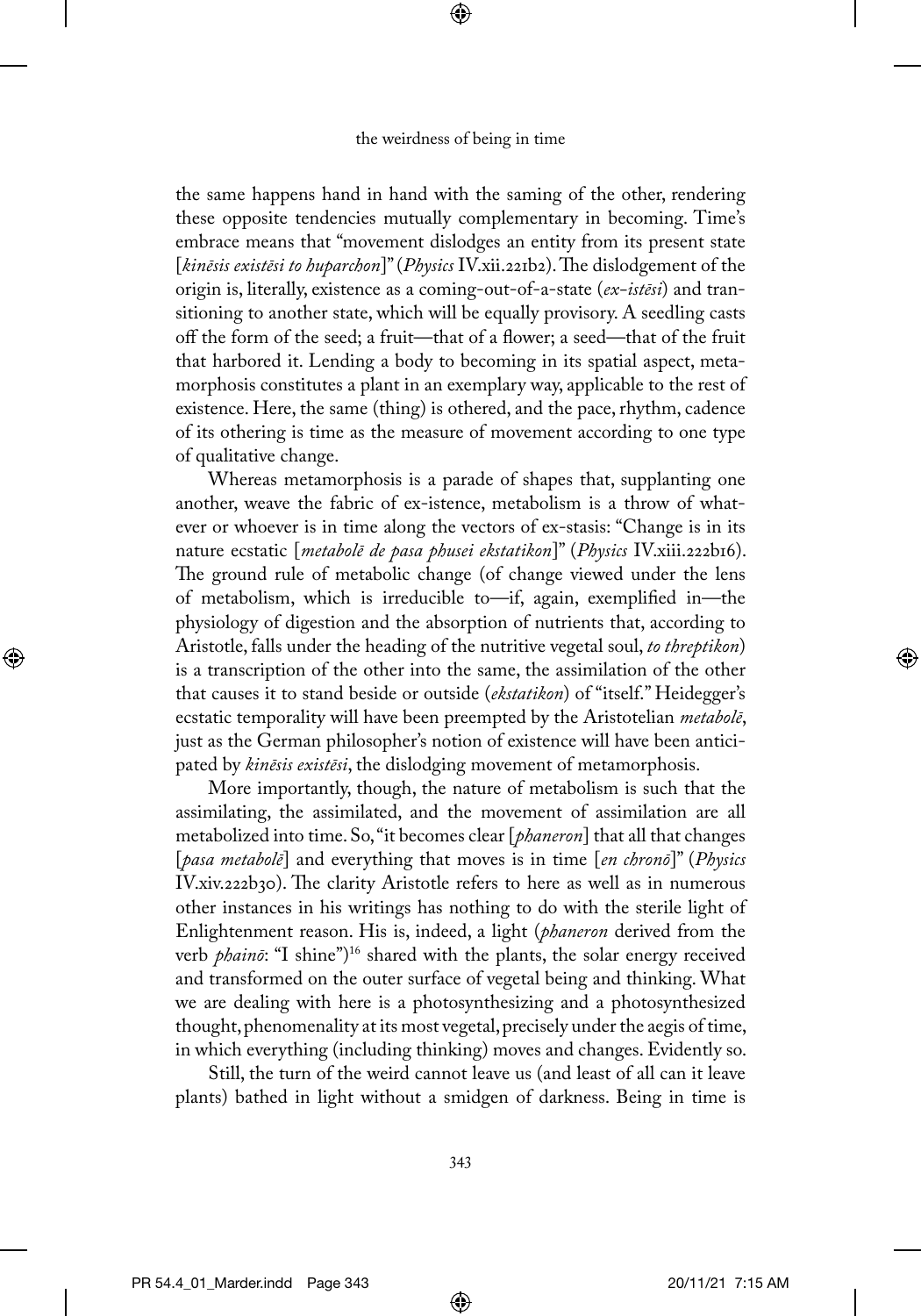⊕

the same happens hand in hand with the saming of the other, rendering these opposite tendencies mutually complementary in becoming. Time's embrace means that "movement dislodges an entity from its present state [*kinēsis existēsi to huparchon*]" (*Physics* IV.xii.221b2). The dislodgement of the origin is, literally, existence as a coming-out-of-a-state (*ex-istēsi*) and transitioning to another state, which will be equally provisory. A seedling casts off the form of the seed; a fruit—that of a flower; a seed—that of the fruit that harbored it. Lending a body to becoming in its spatial aspect, metamorphosis constitutes a plant in an exemplary way, applicable to the rest of existence. Here, the same (thing) is othered, and the pace, rhythm, cadence of its othering is time as the measure of movement according to one type of qualitative change.

Whereas metamorphosis is a parade of shapes that, supplanting one another, weave the fabric of ex-istence, metabolism is a throw of whatever or whoever is in time along the vectors of ex-stasis: "Change is in its nature ecstatic [*metabolē de pasa phusei ekstatikon*]" (*Physics* IV.xiii.222b16). The ground rule of metabolic change (of change viewed under the lens of metabolism, which is irreducible to—if, again, exemplified in—the physiology of digestion and the absorption of nutrients that, according to Aristotle, falls under the heading of the nutritive vegetal soul, *to threptikon*) is a transcription of the other into the same, the assimilation of the other that causes it to stand beside or outside (*ekstatikon*) of "itself." Heidegger's ecstatic temporality will have been preempted by the Aristotelian *metabolē*, just as the German philosopher's notion of existence will have been anticipated by *kinēsis existēsi*, the dislodging movement of metamorphosis.

More importantly, though, the nature of metabolism is such that the assimilating, the assimilated, and the movement of assimilation are all metabolized into time. So, "it becomes clear [*phaneron*] that all that changes [*pasa metabolē*] and everything that moves is in time [*en chronō*]" (*Physics* IV.xiv.222b30). The clarity Aristotle refers to here as well as in numerous other instances in his writings has nothing to do with the sterile light of Enlightenment reason. His is, indeed, a light (*phaneron* derived from the verb *phainō*: "I shine")<sup>16</sup> shared with the plants, the solar energy received and transformed on the outer surface of vegetal being and thinking. What we are dealing with here is a photosynthesizing and a photosynthesized thought, phenomenality at its most vegetal, precisely under the aegis of time, in which everything (including thinking) moves and changes. Evidently so.

Still, the turn of the weird cannot leave us (and least of all can it leave plants) bathed in light without a smidgen of darkness. Being in time is

⊕

⊕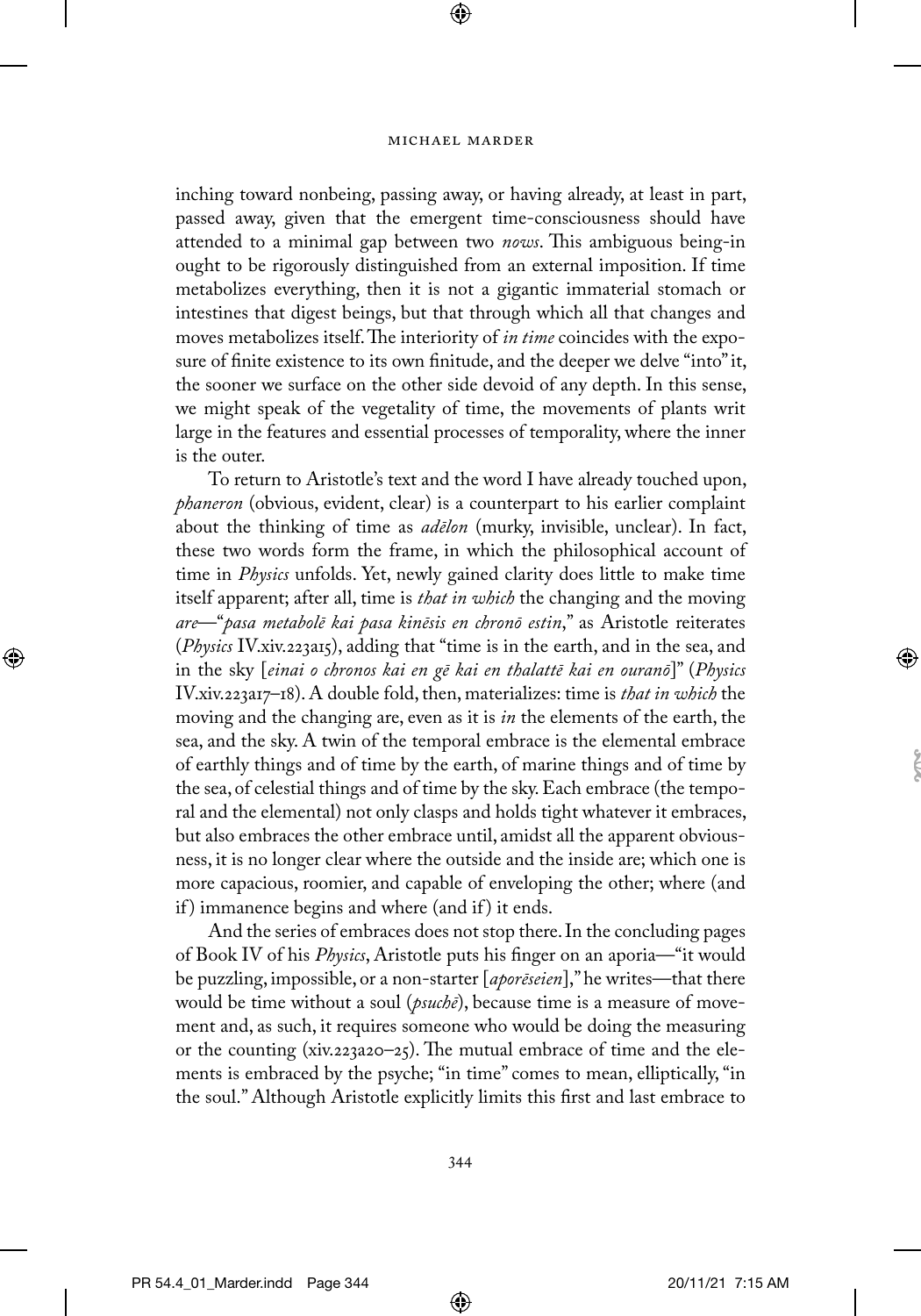⊕

inching toward nonbeing, passing away, or having already, at least in part, passed away, given that the emergent time-consciousness should have attended to a minimal gap between two *nows*. This ambiguous being-in ought to be rigorously distinguished from an external imposition. If time metabolizes everything, then it is not a gigantic immaterial stomach or intestines that digest beings, but that through which all that changes and moves metabolizes itself. The interiority of *in time* coincides with the exposure of finite existence to its own finitude, and the deeper we delve "into" it, the sooner we surface on the other side devoid of any depth. In this sense, we might speak of the vegetality of time, the movements of plants writ large in the features and essential processes of temporality, where the inner is the outer.

To return to Aristotle's text and the word I have already touched upon, *phaneron* (obvious, evident, clear) is a counterpart to his earlier complaint about the thinking of time as *adēlon* (murky, invisible, unclear). In fact, these two words form the frame, in which the philosophical account of time in *Physics* unfolds. Yet, newly gained clarity does little to make time itself apparent; after all, time is *that in which* the changing and the moving *are*—"*pasa metabolē kai pasa kinēsis en chronō estin*," as Aristotle reiterates (*Physics* IV.xiv.223a15), adding that "time is in the earth, and in the sea, and in the sky [*einai o chronos kai en gē kai en thalattē kai en ouranō*]" (*Physics* IV.xiv.223a17–18). A double fold, then, materializes: time is *that in which* the moving and the changing are, even as it is *in* the elements of the earth, the sea, and the sky. A twin of the temporal embrace is the elemental embrace of earthly things and of time by the earth, of marine things and of time by the sea, of celestial things and of time by the sky. Each embrace (the temporal and the elemental) not only clasps and holds tight whatever it embraces, but also embraces the other embrace until, amidst all the apparent obviousness, it is no longer clear where the outside and the inside are; which one is more capacious, roomier, and capable of enveloping the other; where (and if ) immanence begins and where (and if ) it ends.

And the series of embraces does not stop there. In the concluding pages of Book IV of his *Physics*, Aristotle puts his finger on an aporia—"it would be puzzling, impossible, or a non-starter [*aporēseien*]," he writes—that there would be time without a soul (*psuchē*), because time is a measure of movement and, as such, it requires someone who would be doing the measuring or the counting (xiv.223a20–25). The mutual embrace of time and the elements is embraced by the psyche; "in time" comes to mean, elliptically, "in the soul." Although Aristotle explicitly limits this first and last embrace to

⊕

↔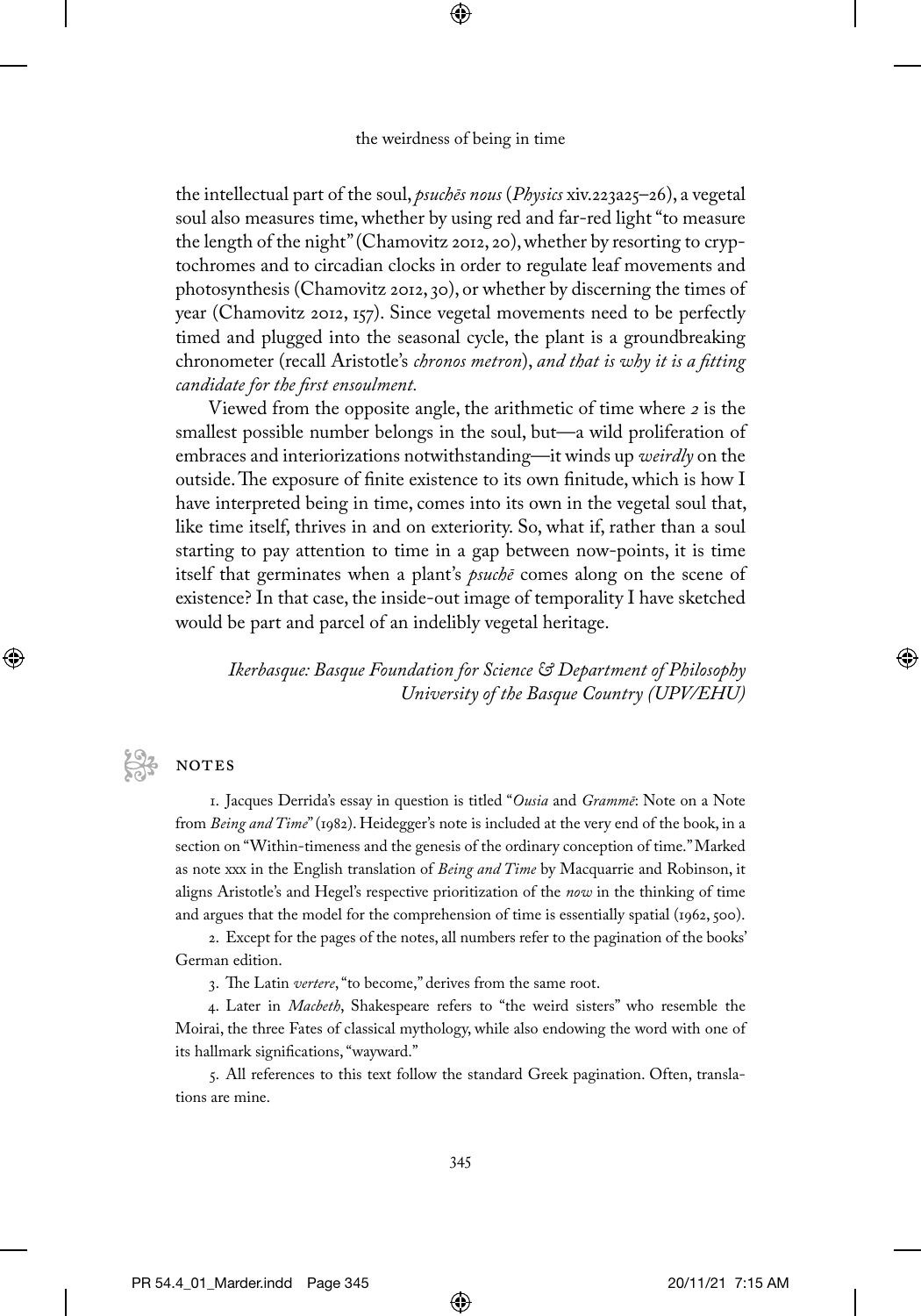⊕

the intellectual part of the soul, *psuchēs nous* (*Physics* xiv.223a25–26), a vegetal soul also measures time, whether by using red and far-red light "to measure the length of the night" (Chamovitz 2012, 20), whether by resorting to cryptochromes and to circadian clocks in order to regulate leaf movements and photosynthesis (Chamovitz 2012, 30), or whether by discerning the times of year (Chamovitz 2012, 157). Since vegetal movements need to be perfectly timed and plugged into the seasonal cycle, the plant is a groundbreaking chronometer (recall Aristotle's *chronos metron*), *and that is why it is a fitting candidate for the first ensoulment.*

Viewed from the opposite angle, the arithmetic of time where *2* is the smallest possible number belongs in the soul, but—a wild proliferation of embraces and interiorizations notwithstanding—it winds up *weirdly* on the outside. The exposure of finite existence to its own finitude, which is how I have interpreted being in time, comes into its own in the vegetal soul that, like time itself, thrives in and on exteriority. So, what if, rather than a soul starting to pay attention to time in a gap between now-points, it is time itself that germinates when a plant's *psuchē* comes along on the scene of existence? In that case, the inside-out image of temporality I have sketched would be part and parcel of an indelibly vegetal heritage.

*Ikerbasque: Basque Foundation for Science & Department of Philosophy University of the Basque Country (UPV/EHU)*

# **NOTES**

⊕

1. Jacques Derrida's essay in question is titled "*Ousia* and *Grammē*: Note on a Note from *Being and Time*" (1982). Heidegger's note is included at the very end of the book, in a section on "Within-timeness and the genesis of the ordinary conception of time." Marked as note xxx in the English translation of *Being and Time* by Macquarrie and Robinson, it aligns Aristotle's and Hegel's respective prioritization of the *now* in the thinking of time and argues that the model for the comprehension of time is essentially spatial (1962, 500).

2. Except for the pages of the notes, all numbers refer to the pagination of the books' German edition.

3. The Latin *vertere*, "to become," derives from the same root.

4. Later in *Macbeth*, Shakespeare refers to "the weird sisters" who resemble the Moirai, the three Fates of classical mythology, while also endowing the word with one of its hallmark significations, "wayward."

5. All references to this text follow the standard Greek pagination. Often, translations are mine.

⊕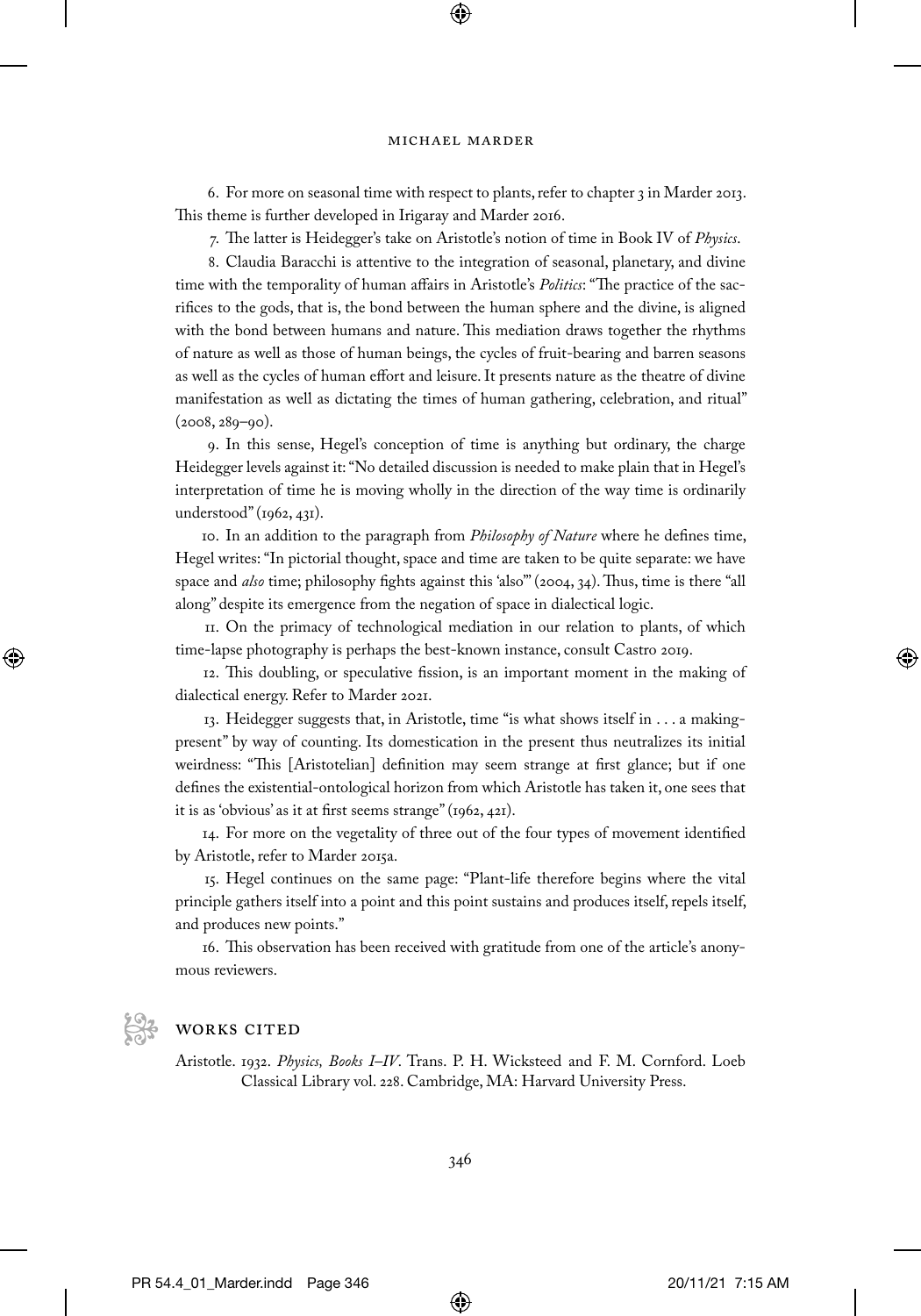⊕

6. For more on seasonal time with respect to plants, refer to chapter 3 in Marder 2013. This theme is further developed in Irigaray and Marder 2016.

7. The latter is Heidegger's take on Aristotle's notion of time in Book IV of *Physics*.

8. Claudia Baracchi is attentive to the integration of seasonal, planetary, and divine time with the temporality of human affairs in Aristotle's *Politics*: "The practice of the sacrifices to the gods, that is, the bond between the human sphere and the divine, is aligned with the bond between humans and nature. This mediation draws together the rhythms of nature as well as those of human beings, the cycles of fruit-bearing and barren seasons as well as the cycles of human effort and leisure. It presents nature as the theatre of divine manifestation as well as dictating the times of human gathering, celebration, and ritual" (2008, 289–90).

9. In this sense, Hegel's conception of time is anything but ordinary, the charge Heidegger levels against it: "No detailed discussion is needed to make plain that in Hegel's interpretation of time he is moving wholly in the direction of the way time is ordinarily understood" (1962, 431).

10. In an addition to the paragraph from *Philosophy of Nature* where he defines time, Hegel writes: "In pictorial thought, space and time are taken to be quite separate: we have space and *also* time; philosophy fights against this 'also'" (2004, 34). Thus, time is there "all along" despite its emergence from the negation of space in dialectical logic.

11. On the primacy of technological mediation in our relation to plants, of which time-lapse photography is perhaps the best-known instance, consult Castro 2019.

12. This doubling, or speculative fission, is an important moment in the making of dialectical energy. Refer to Marder 2021.

13. Heidegger suggests that, in Aristotle, time "is what shows itself in . . . a makingpresent" by way of counting. Its domestication in the present thus neutralizes its initial weirdness: "This [Aristotelian] definition may seem strange at first glance; but if one defines the existential-ontological horizon from which Aristotle has taken it, one sees that it is as 'obvious' as it at first seems strange" (1962, 421).

14. For more on the vegetality of three out of the four types of movement identified by Aristotle, refer to Marder 2015a.

15. Hegel continues on the same page: "Plant-life therefore begins where the vital principle gathers itself into a point and this point sustains and produces itself, repels itself, and produces new points."

16. This observation has been received with gratitude from one of the article's anonymous reviewers.



↔

# WORKS CITED

Aristotle. 1932. *Physics, Books I–IV*. Trans. P. H. Wicksteed and F. M. Cornford. Loeb Classical Library vol. 228. Cambridge, MA: Harvard University Press.

⊕

PR 54.4\_01\_Marder.indd Page 346 20/11/21 7:15 AM PR 54.4\_01\_Marder.indd Page 347 20/11/21 7:15 AM